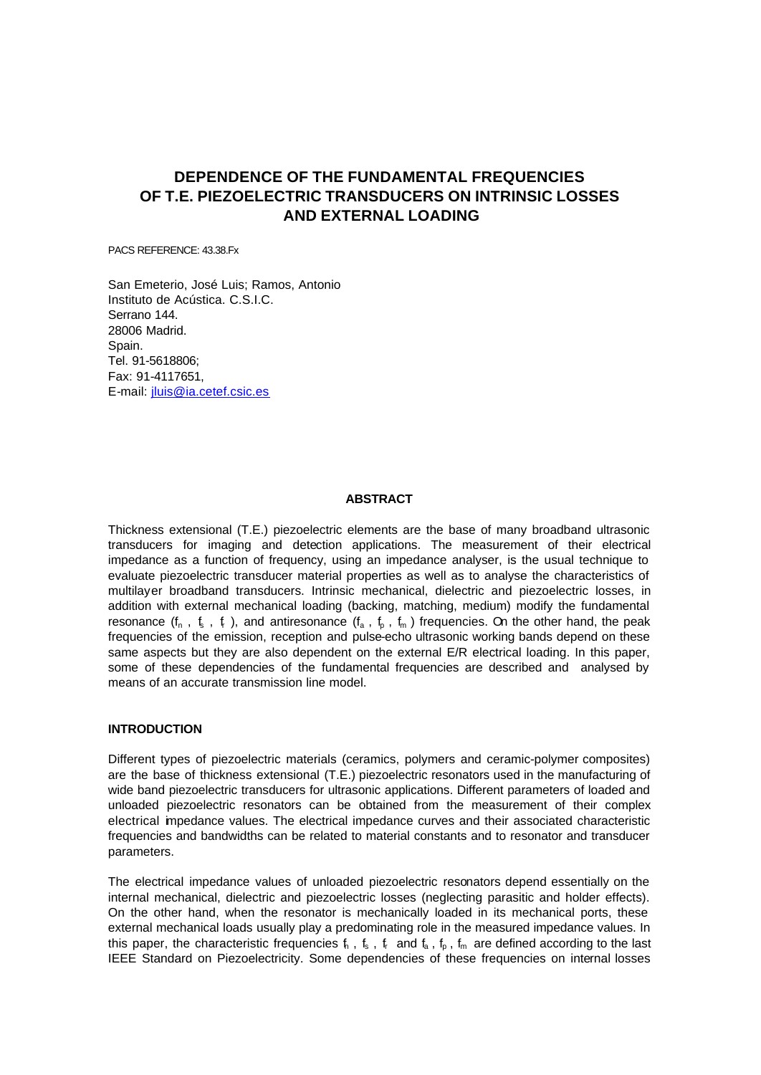# **DEPENDENCE OF THE FUNDAMENTAL FREQUENCIES OF T.E. PIEZOELECTRIC TRANSDUCERS ON INTRINSIC LOSSES AND EXTERNAL LOADING**

PACS REFERENCE: 43.38.Fx

San Emeterio, José Luis; Ramos, Antonio Instituto de Acústica. C.S.I.C. Serrano 144. 28006 Madrid. Spain. Tel. 91-5618806; Fax: 91-4117651, E-mail: jluis@ia.cetef.csic.es

## **ABSTRACT**

Thickness extensional (T.E.) piezoelectric elements are the base of many broadband ultrasonic transducers for imaging and detection applications. The measurement of their electrical impedance as a function of frequency, using an impedance analyser, is the usual technique to evaluate piezoelectric transducer material properties as well as to analyse the characteristics of multilayer broadband transducers. Intrinsic mechanical, dielectric and piezoelectric losses, in addition with external mechanical loading (backing, matching, medium) modify the fundamental resonance ( $f_n$ ,  $f_s$ ,  $f_r$ ), and antiresonance ( $f_a$ ,  $f_p$ ,  $f_m$ ) frequencies. On the other hand, the peak frequencies of the emission, reception and pulse-echo ultrasonic working bands depend on these same aspects but they are also dependent on the external E/R electrical loading. In this paper, some of these dependencies of the fundamental frequencies are described and analysed by means of an accurate transmission line model.

## **INTRODUCTION**

Different types of piezoelectric materials (ceramics, polymers and ceramic-polymer composites) are the base of thickness extensional (T.E.) piezoelectric resonators used in the manufacturing of wide band piezoelectric transducers for ultrasonic applications. Different parameters of loaded and unloaded piezoelectric resonators can be obtained from the measurement of their complex electrical impedance values. The electrical impedance curves and their associated characteristic frequencies and bandwidths can be related to material constants and to resonator and transducer parameters.

The electrical impedance values of unloaded piezoelectric resonators depend essentially on the internal mechanical, dielectric and piezoelectric losses (neglecting parasitic and holder effects). On the other hand, when the resonator is mechanically loaded in its mechanical ports, these external mechanical loads usually play a predominating role in the measured impedance values. In this paper, the characteristic frequencies  $f_n$  ,  $f_s$  ,  $f_r$  and  $f_a$  ,  $f_p$  ,  $f_m$  are defined according to the last IEEE Standard on Piezoelectricity. Some dependencies of these frequencies on internal losses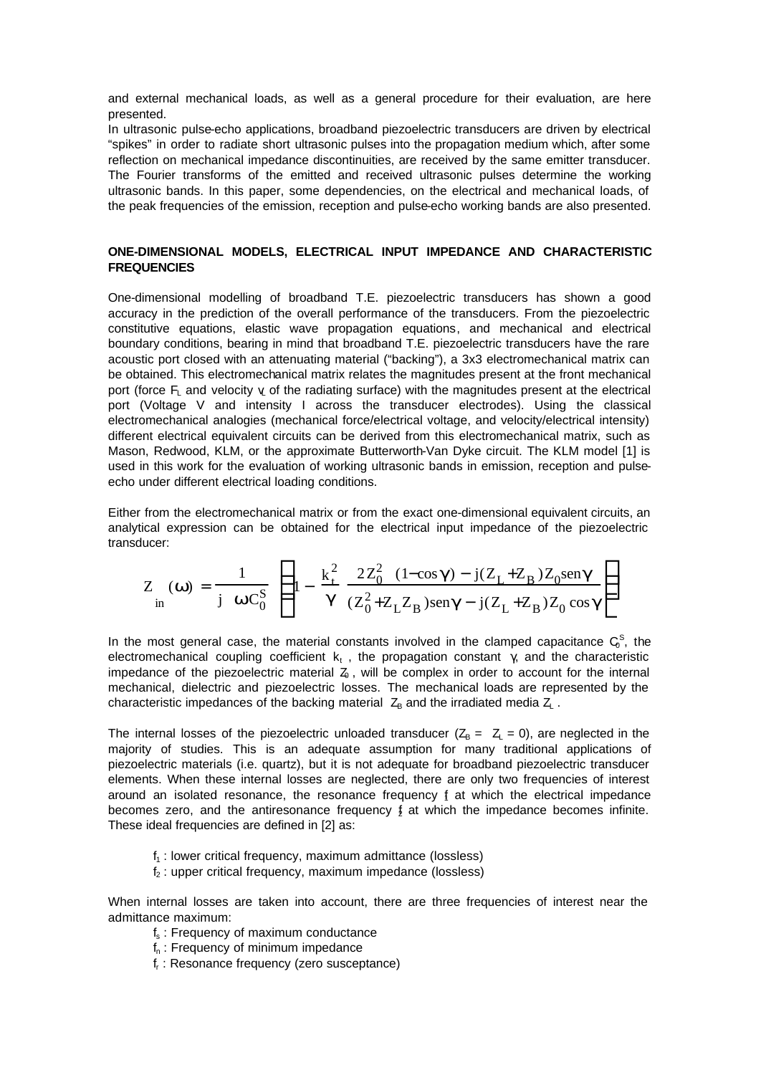and external mechanical loads, as well as a general procedure for their evaluation, are here presented.

In ultrasonic pulse-echo applications, broadband piezoelectric transducers are driven by electrical "spikes" in order to radiate short ultrasonic pulses into the propagation medium which, after some reflection on mechanical impedance discontinuities, are received by the same emitter transducer. The Fourier transforms of the emitted and received ultrasonic pulses determine the working ultrasonic bands. In this paper, some dependencies, on the electrical and mechanical loads, of the peak frequencies of the emission, reception and pulse-echo working bands are also presented.

# **ONE-DIMENSIONAL MODELS, ELECTRICAL INPUT IMPEDANCE AND CHARACTERISTIC FREQUENCIES**

One-dimensional modelling of broadband T.E. piezoelectric transducers has shown a good accuracy in the prediction of the overall performance of the transducers. From the piezoelectric constitutive equations, elastic wave propagation equations, and mechanical and electrical boundary conditions, bearing in mind that broadband T.E. piezoelectric transducers have the rare acoustic port closed with an attenuating material ("backing"), a 3x3 electromechanical matrix can be obtained. This electromechanical matrix relates the magnitudes present at the front mechanical port (force  $F<sub>L</sub>$  and velocity  $\gamma$  of the radiating surface) with the magnitudes present at the electrical port (Voltage V and intensity I across the transducer electrodes). Using the classical electromechanical analogies (mechanical force/electrical voltage, and velocity/electrical intensity) different electrical equivalent circuits can be derived from this electromechanical matrix, such as Mason, Redwood, KLM, or the approximate Butterworth-Van Dyke circuit. The KLM model [1] is used in this work for the evaluation of working ultrasonic bands in emission, reception and pulseecho under different electrical loading conditions.

Either from the electromechanical matrix or from the exact one-dimensional equivalent circuits, an analytical expression can be obtained for the electrical input impedance of the piezoelectric transducer:

$$
Z_{in}(\mathbf{w}) = \frac{1}{j \mathbf{w} C_0^S} \left( 1 - \frac{k_+^2}{g} \frac{2Z_0^2 (1 - \cos \mathbf{g}) - j(Z_L + Z_B) Z_0 \text{seng}}{(Z_0^2 + Z_L Z_B) \text{seng} - j(Z_L + Z_B) Z_0 \cos \mathbf{g}} \right)
$$

In the most general case, the material constants involved in the clamped capacitance  $\mathsf{C}_0^{\textsf{S}}$ , the electromechanical coupling coefficient  $k_t$ , the propagation constant  $\gamma$ , and the characteristic impedance of the piezoelectric material  $Z_0$ , will be complex in order to account for the internal mechanical, dielectric and piezoelectric losses. The mechanical loads are represented by the characteristic impedances of the backing material  $Z_B$  and the irradiated media  $Z_L$ .

The internal losses of the piezoelectric unloaded transducer ( $Z_B = Z_1 = 0$ ), are neglected in the majority of studies. This is an adequate assumption for many traditional applications of piezoelectric materials (i.e. quartz), but it is not adequate for broadband piezoelectric transducer elements. When these internal losses are neglected, there are only two frequencies of interest around an isolated resonance, the resonance frequency  $f$  at which the electrical impedance becomes zero, and the antiresonance frequency  $\oint$  at which the impedance becomes infinite. These ideal frequencies are defined in [2] as:

- $f_1$ : lower critical frequency, maximum admittance (lossless)
- $f<sub>2</sub>$ : upper critical frequency, maximum impedance (lossless)

When internal losses are taken into account, there are three frequencies of interest near the admittance maximum:

- f<sub>s</sub>: Frequency of maximum conductance
- $f_n$ : Frequency of minimum impedance
- fr : Resonance frequency (zero susceptance)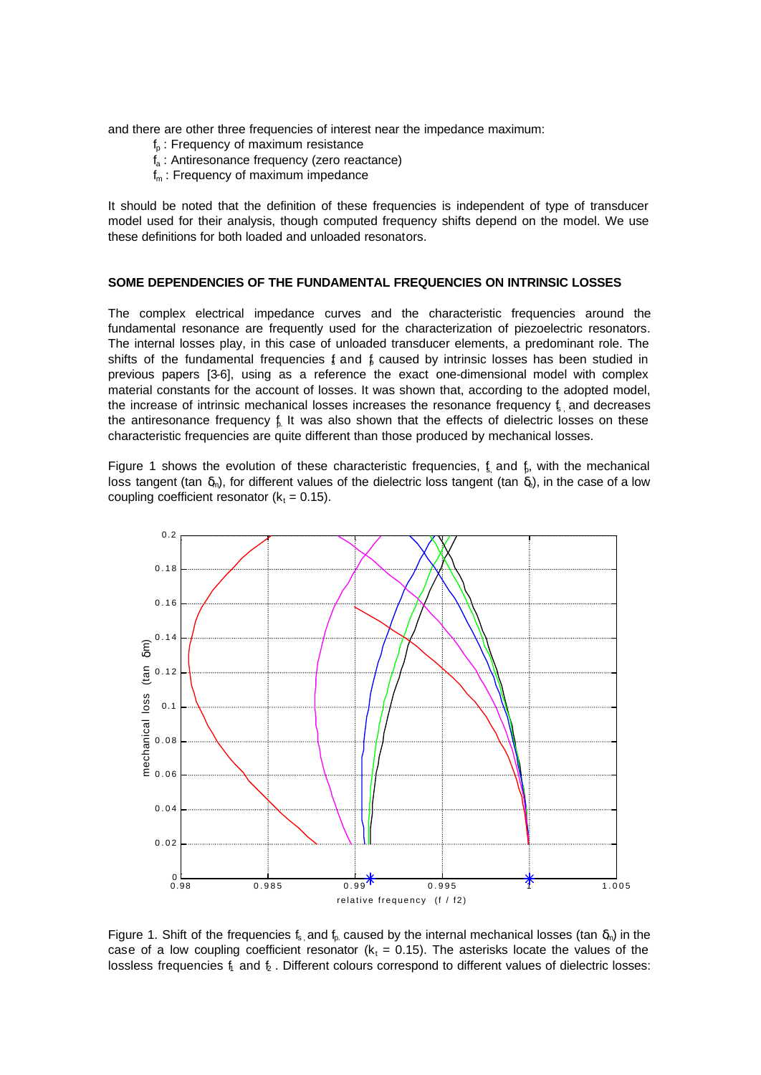and there are other three frequencies of interest near the impedance maximum:

- $f<sub>p</sub>$ : Frequency of maximum resistance
- $f_a$ : Antiresonance frequency (zero reactance)
- $f_m$ : Frequency of maximum impedance

It should be noted that the definition of these frequencies is independent of type of transducer model used for their analysis, though computed frequency shifts depend on the model. We use these definitions for both loaded and unloaded resonators.

#### **SOME DEPENDENCIES OF THE FUNDAMENTAL FREQUENCIES ON INTRINSIC LOSSES**

The complex electrical impedance curves and the characteristic frequencies around the fundamental resonance are frequently used for the characterization of piezoelectric resonators. The internal losses play, in this case of unloaded transducer elements, a predominant role. The shifts of the fundamental frequencies  $f$  and  $f$  caused by intrinsic losses has been studied in previous papers [3-6], using as a reference the exact one-dimensional model with complex material constants for the account of losses. It was shown that, according to the adopted model, the increase of intrinsic mechanical losses increases the resonance frequency  $\epsilon$  and decreases the antiresonance frequency  $f<sub>b</sub>$  It was also shown that the effects of dielectric losses on these characteristic frequencies are quite different than those produced by mechanical losses.

Figure 1 shows the evolution of these characteristic frequencies,  $f<sub>s</sub>$  and  $f<sub>b</sub>$ , with the mechanical loss tangent (tan  $\delta_m$ ), for different values of the dielectric loss tangent (tan  $\delta_b$ ), in the case of a low coupling coefficient resonator ( $k_t = 0.15$ ).



Figure 1. Shift of the frequencies  $f_s$  and  $f_p$  caused by the internal mechanical losses (tan  $\delta_m$ ) in the case of a low coupling coefficient resonator ( $k_t = 0.15$ ). The asterisks locate the values of the lossless frequencies  $f_1$  and  $f_2$ . Different colours correspond to different values of dielectric losses: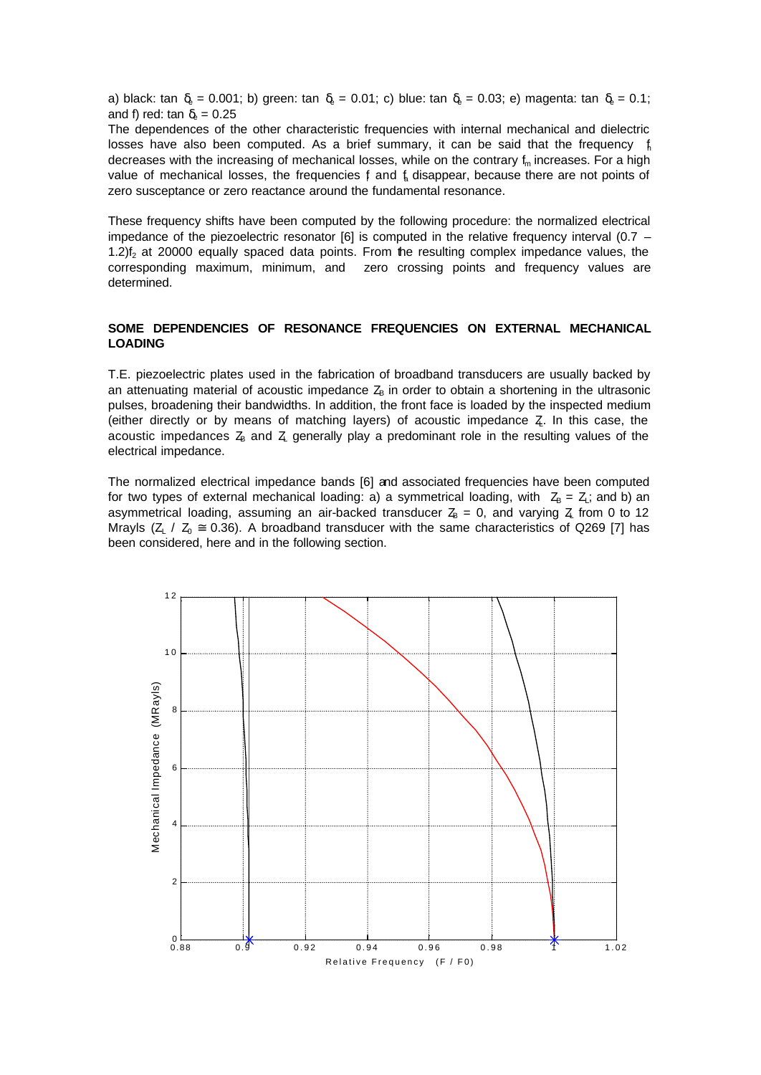a) black: tan  $\delta_e = 0.001$ ; b) green: tan  $\delta_e = 0.01$ ; c) blue: tan  $\delta_e = 0.03$ ; e) magenta: tan  $\delta_e = 0.1$ ; and f) red: tan  $\delta_{\text{e}} = 0.25$ 

The dependences of the other characteristic frequencies with internal mechanical and dielectric losses have also been computed. As a brief summary, it can be said that the frequency  $\oint$ decreases with the increasing of mechanical losses, while on the contrary  $f_m$  increases. For a high value of mechanical losses, the frequencies  $f$  and  $f_a$  disappear, because there are not points of zero susceptance or zero reactance around the fundamental resonance.

These frequency shifts have been computed by the following procedure: the normalized electrical impedance of the piezoelectric resonator [6] is computed in the relative frequency interval (0.7 – 1.2) $f<sub>2</sub>$  at 20000 equally spaced data points. From the resulting complex impedance values, the corresponding maximum, minimum, and zero crossing points and frequency values are determined.

# **SOME DEPENDENCIES OF RESONANCE FREQUENCIES ON EXTERNAL MECHANICAL LOADING**

T.E. piezoelectric plates used in the fabrication of broadband transducers are usually backed by an attenuating material of acoustic impedance  $Z<sub>B</sub>$  in order to obtain a shortening in the ultrasonic pulses, broadening their bandwidths. In addition, the front face is loaded by the inspected medium (either directly or by means of matching layers) of acoustic impedance  $Z$ . In this case, the acoustic impedances  $Z_B$  and  $Z_L$  generally play a predominant role in the resulting values of the electrical impedance.

The normalized electrical impedance bands [6] and associated frequencies have been computed for two types of external mechanical loading: a) a symmetrical loading, with  $Z_B = Z$ ; and b) an asymmetrical loading, assuming an air-backed transducer  $Z_B = 0$ , and varying  $Z_L$  from 0 to 12 Mrayls ( $Z_1$  /  $Z_0 \approx 0.36$ ). A broadband transducer with the same characteristics of Q269 [7] has been considered, here and in the following section.

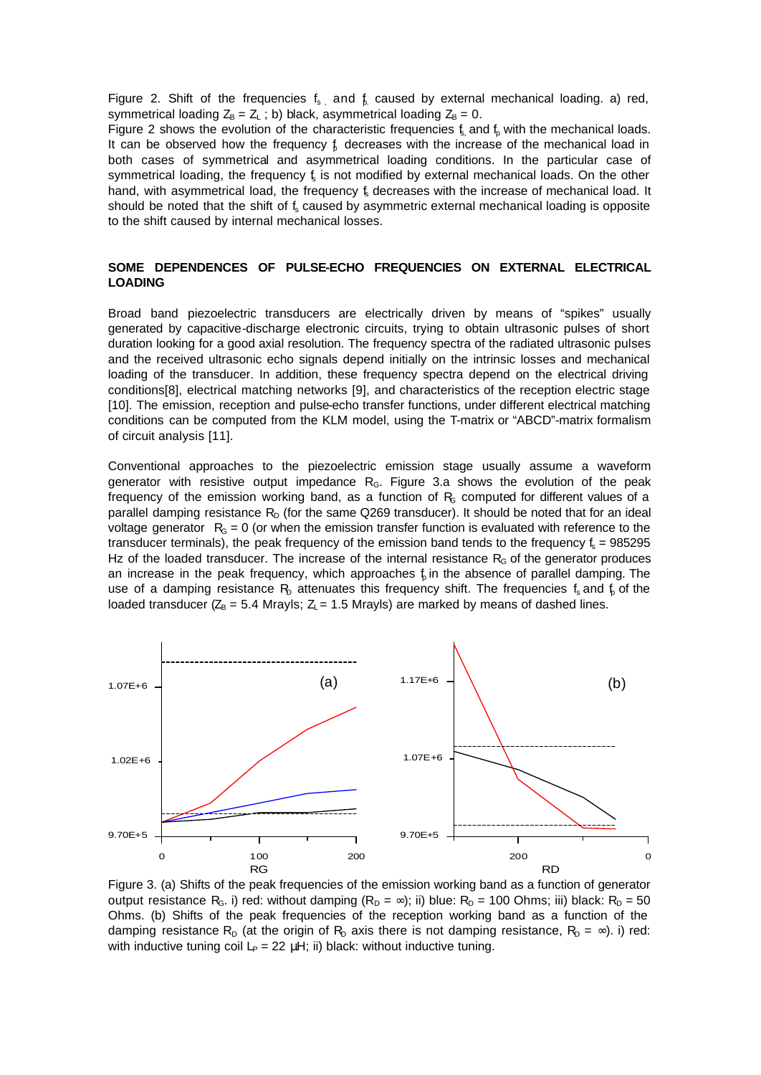Figure 2. Shift of the frequencies  $f_s$  and  $f_s$  caused by external mechanical loading. a) red, symmetrical loading  $Z_B = Z_L$ ; b) black, asymmetrical loading  $Z_B = 0$ .

Figure 2 shows the evolution of the characteristic frequencies  $f_s$  and  $f_p$  with the mechanical loads. It can be observed how the frequency  $f$  decreases with the increase of the mechanical load in both cases of symmetrical and asymmetrical loading conditions. In the particular case of symmetrical loading, the frequency  $f<sub>s</sub>$  is not modified by external mechanical loads. On the other hand, with asymmetrical load, the frequency  $f_s$  decreases with the increase of mechanical load. It should be noted that the shift of  $f_s$  caused by asymmetric external mechanical loading is opposite to the shift caused by internal mechanical losses.

# **SOME DEPENDENCES OF PULSE-ECHO FREQUENCIES ON EXTERNAL ELECTRICAL LOADING**

Broad band piezoelectric transducers are electrically driven by means of "spikes" usually generated by capacitive-discharge electronic circuits, trying to obtain ultrasonic pulses of short duration looking for a good axial resolution. The frequency spectra of the radiated ultrasonic pulses and the received ultrasonic echo signals depend initially on the intrinsic losses and mechanical loading of the transducer. In addition, these frequency spectra depend on the electrical driving conditions[8], electrical matching networks [9], and characteristics of the reception electric stage [10]. The emission, reception and pulse-echo transfer functions, under different electrical matching conditions can be computed from the KLM model, using the T-matrix or "ABCD"-matrix formalism of circuit analysis [11].

Conventional approaches to the piezoelectric emission stage usually assume a waveform generator with resistive output impedance  $R<sub>G</sub>$ . Figure 3.a shows the evolution of the peak frequency of the emission working band, as a function of  $R<sub>s</sub>$  computed for different values of a parallel damping resistance  $R<sub>D</sub>$  (for the same Q269 transducer). It should be noted that for an ideal voltage generator  $R<sub>g</sub> = 0$  (or when the emission transfer function is evaluated with reference to the transducer terminals), the peak frequency of the emission band tends to the frequency  $f_s = 985295$ Hz of the loaded transducer. The increase of the internal resistance  $R<sub>G</sub>$  of the generator produces an increase in the peak frequency, which approaches  $f<sub>i</sub>$  in the absence of parallel damping. The use of a damping resistance  $R<sub>D</sub>$  attenuates this frequency shift. The frequencies  $f<sub>s</sub>$  and  $f<sub>p</sub>$  of the loaded transducer ( $Z_B = 5.4$  Mrayls;  $Z_L = 1.5$  Mrayls) are marked by means of dashed lines.



Figure 3. (a) Shifts of the peak frequencies of the emission working band as a function of generator output resistance R<sub>G</sub>. i) red: without damping  $(R_D = \infty)$ ; ii) blue: R<sub>D</sub> = 100 Ohms; iii) black: R<sub>D</sub> = 50 Ohms. (b) Shifts of the peak frequencies of the reception working band as a function of the damping resistance R<sub>D</sub> (at the origin of R<sub>D</sub> axis there is not damping resistance, R<sub>D</sub> =  $\infty$ ). i) red: with inductive tuning coil  $L_P = 22 \mu H$ ; ii) black: without inductive tuning.